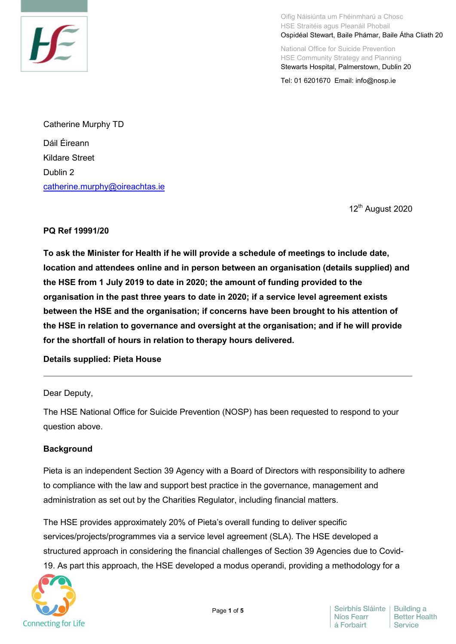

Oifig Náisiúnta um Fhéinmharú a Chosc HSE Straitéis agus Pleanáil Phobail Ospidéal Stewart, Baile Phámar, Baile Átha Cliath 20

National Office for Suicide Prevention HSE Community Strategy and Planning Stewarts Hospital, Palmerstown, Dublin 20

Tel: 01 6201670 Email: info@nosp.ie

Catherine Murphy TD Dáil Éireann Kildare Street Dublin 2 [catherine.murphy@oireachtas.ie](mailto:catherine.murphy@oireachtas.ie)

12<sup>th</sup> August 2020

### **PQ Ref 19991/20**

**To ask the Minister for Health if he will provide a schedule of meetings to include date, location and attendees online and in person between an organisation (details supplied) and the HSE from 1 July 2019 to date in 2020; the amount of funding provided to the organisation in the past three years to date in 2020; if a service level agreement exists between the HSE and the organisation; if concerns have been brought to his attention of the HSE in relation to governance and oversight at the organisation; and if he will provide for the shortfall of hours in relation to therapy hours delivered.**

### **Details supplied: Pieta House**

### Dear Deputy,

The HSE National Office for Suicide Prevention (NOSP) has been requested to respond to your question above.

### **Background**

Pieta is an independent Section 39 Agency with a Board of Directors with responsibility to adhere to compliance with the law and support best practice in the governance, management and administration as set out by the Charities Regulator, including financial matters.

The HSE provides approximately 20% of Pieta's overall funding to deliver specific services/projects/programmes via a service level agreement (SLA). The HSE developed a structured approach in considering the financial challenges of Section 39 Agencies due to Covid-19. As part this approach, the HSE developed a modus operandi, providing a methodology for a

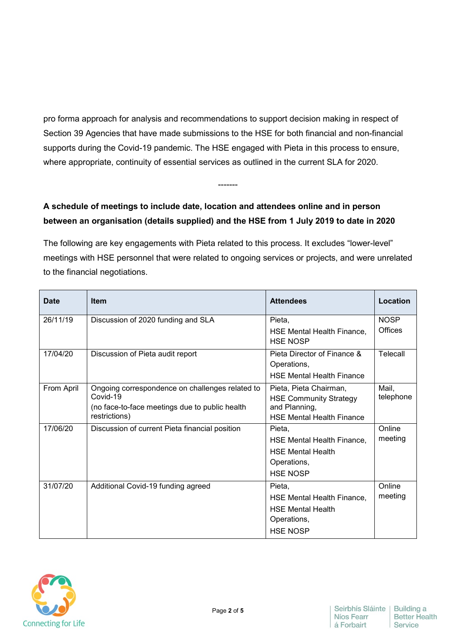pro forma approach for analysis and recommendations to support decision making in respect of Section 39 Agencies that have made submissions to the HSE for both financial and non-financial supports during the Covid-19 pandemic. The HSE engaged with Pieta in this process to ensure, where appropriate, continuity of essential services as outlined in the current SLA for 2020.

-------

# **A schedule of meetings to include date, location and attendees online and in person between an organisation (details supplied) and the HSE from 1 July 2019 to date in 2020**

The following are key engagements with Pieta related to this process. It excludes "lower-level" meetings with HSE personnel that were related to ongoing services or projects, and were unrelated to the financial negotiations.

| <b>Date</b> | <b>Item</b>                                                                                                                    | <b>Attendees</b>                                                                                             | Location               |
|-------------|--------------------------------------------------------------------------------------------------------------------------------|--------------------------------------------------------------------------------------------------------------|------------------------|
| 26/11/19    | Discussion of 2020 funding and SLA                                                                                             | Pieta,<br><b>HSE Mental Health Finance.</b><br><b>HSE NOSP</b>                                               | <b>NOSP</b><br>Offices |
| 17/04/20    | Discussion of Pieta audit report                                                                                               | Pieta Director of Finance &<br>Operations,<br><b>HSE Mental Health Finance</b>                               | Telecall               |
| From April  | Ongoing correspondence on challenges related to<br>Covid-19<br>(no face-to-face meetings due to public health<br>restrictions) | Pieta, Pieta Chairman,<br><b>HSE Community Strategy</b><br>and Planning,<br><b>HSE Mental Health Finance</b> | Mail,<br>telephone     |
| 17/06/20    | Discussion of current Pieta financial position                                                                                 | Pieta.<br>HSE Mental Health Finance,<br><b>HSE Mental Health</b><br>Operations,<br><b>HSE NOSP</b>           | Online<br>meeting      |
| 31/07/20    | Additional Covid-19 funding agreed                                                                                             | Pieta,<br><b>HSE Mental Health Finance,</b><br><b>HSE Mental Health</b><br>Operations,<br><b>HSE NOSP</b>    | Online<br>meeting      |

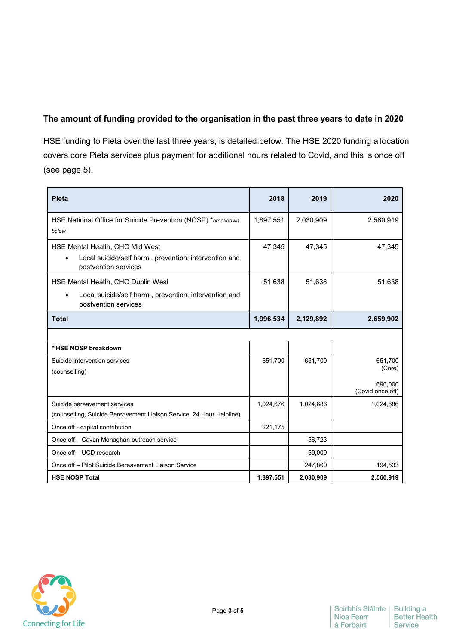## **The amount of funding provided to the organisation in the past three years to date in 2020**

HSE funding to Pieta over the last three years, is detailed below. The HSE 2020 funding allocation covers core Pieta services plus payment for additional hours related to Covid, and this is once off (see page 5).

| <b>Pieta</b>                                                                                                     | 2018      | 2019      | 2020                        |
|------------------------------------------------------------------------------------------------------------------|-----------|-----------|-----------------------------|
| HSE National Office for Suicide Prevention (NOSP) *breakdown<br>below                                            | 1,897,551 | 2,030,909 | 2,560,919                   |
| HSE Mental Health, CHO Mid West<br>Local suicide/self harm, prevention, intervention and<br>postvention services | 47,345    | 47,345    | 47,345                      |
| HSE Mental Health, CHO Dublin West                                                                               | 51,638    | 51,638    | 51,638                      |
| Local suicide/self harm, prevention, intervention and<br>$\bullet$<br>postvention services                       |           |           |                             |
| <b>Total</b>                                                                                                     | 1,996,534 | 2,129,892 | 2,659,902                   |
|                                                                                                                  |           |           |                             |
| * HSE NOSP breakdown                                                                                             |           |           |                             |
| Suicide intervention services<br>(counselling)                                                                   | 651,700   | 651,700   | 651,700<br>(Core)           |
|                                                                                                                  |           |           | 690,000<br>(Covid once off) |
| Suicide bereavement services<br>(counselling, Suicide Bereavement Liaison Service, 24 Hour Helpline)             | 1,024,676 | 1,024,686 | 1,024,686                   |
| Once off - capital contribution                                                                                  | 221,175   |           |                             |
| Once off - Cavan Monaghan outreach service                                                                       |           | 56,723    |                             |
| Once off - UCD research                                                                                          |           | 50,000    |                             |
| Once off - Pilot Suicide Bereavement Liaison Service                                                             |           | 247,800   | 194,533                     |
| <b>HSE NOSP Total</b>                                                                                            | 1,897,551 | 2,030,909 | 2,560,919                   |

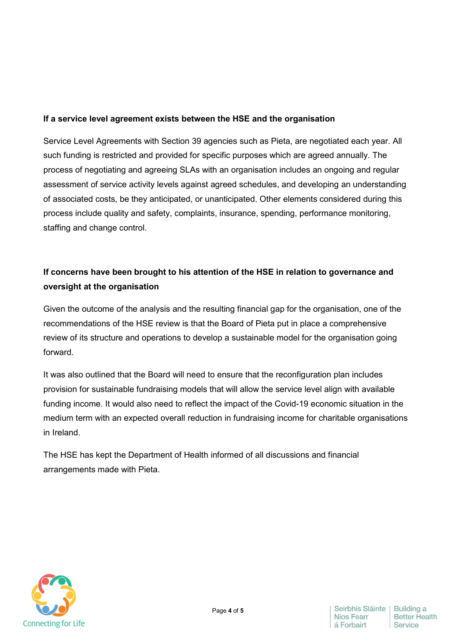### **If a service level agreement exists between the HSE and the organisation**

Service Level Agreements with Section 39 agencies such as Pieta, are negotiated each year. All such funding is restricted and provided for specific purposes which are agreed annually. The process of negotiating and agreeing SLAs with an organisation includes an ongoing and regular assessment of service activity levels against agreed schedules, and developing an understanding of associated costs, be they anticipated, or unanticipated. Other elements considered during this process include quality and safety, complaints, insurance, spending, performance monitoring, staffing and change control.

## **If concerns have been brought to his attention of the HSE in relation to governance and oversight at the organisation**

Given the outcome of the analysis and the resulting financial gap for the organisation, one of the recommendations of the HSE review is that the Board of Pieta put in place a comprehensive review of its structure and operations to develop a sustainable model for the organisation going forward.

It was also outlined that the Board will need to ensure that the reconfiguration plan includes provision for sustainable fundraising models that will allow the service level align with available funding income. It would also need to reflect the impact of the Covid-19 economic situation in the medium term with an expected overall reduction in fundraising income for charitable organisations in Ireland.

The HSE has kept the Department of Health informed of all discussions and financial arrangements made with Pieta.